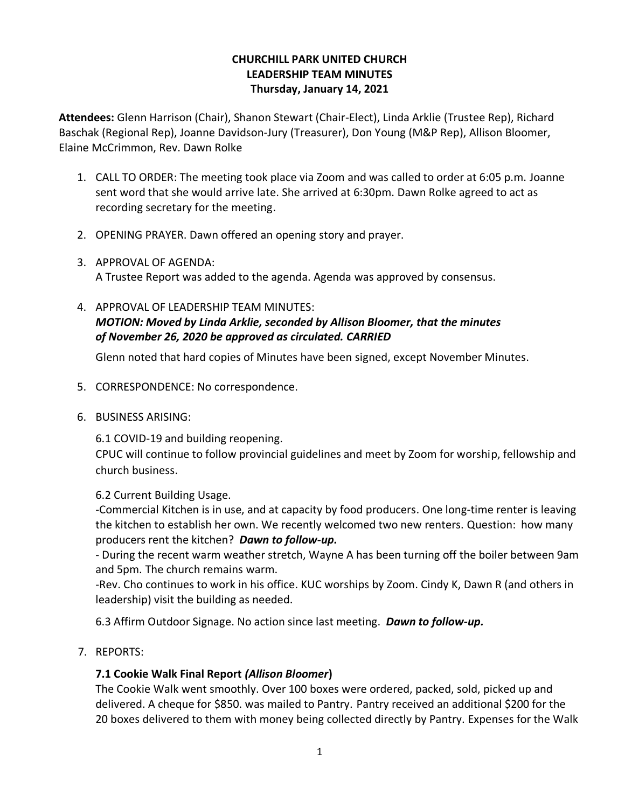## **CHURCHILL PARK UNITED CHURCH LEADERSHIP TEAM MINUTES Thursday, January 14, 2021**

**Attendees:** Glenn Harrison (Chair), Shanon Stewart (Chair-Elect), Linda Arklie (Trustee Rep), Richard Baschak (Regional Rep), Joanne Davidson-Jury (Treasurer), Don Young (M&P Rep), Allison Bloomer, Elaine McCrimmon, Rev. Dawn Rolke

- 1. CALL TO ORDER: The meeting took place via Zoom and was called to order at 6:05 p.m. Joanne sent word that she would arrive late. She arrived at 6:30pm. Dawn Rolke agreed to act as recording secretary for the meeting.
- 2. OPENING PRAYER. Dawn offered an opening story and prayer.
- 3. APPROVAL OF AGENDA: A Trustee Report was added to the agenda. Agenda was approved by consensus.
- 4. APPROVAL OF LEADERSHIP TEAM MINUTES: *MOTION: Moved by Linda Arklie, seconded by Allison Bloomer, that the minutes of November 26, 2020 be approved as circulated. CARRIED*

Glenn noted that hard copies of Minutes have been signed, except November Minutes.

- 5. CORRESPONDENCE: No correspondence.
- 6. BUSINESS ARISING:

6.1 COVID-19 and building reopening.

CPUC will continue to follow provincial guidelines and meet by Zoom for worship, fellowship and church business.

6.2 Current Building Usage.

-Commercial Kitchen is in use, and at capacity by food producers. One long-time renter is leaving the kitchen to establish her own. We recently welcomed two new renters. Question: how many producers rent the kitchen? *Dawn to follow-up.*

- During the recent warm weather stretch, Wayne A has been turning off the boiler between 9am and 5pm. The church remains warm.

-Rev. Cho continues to work in his office. KUC worships by Zoom. Cindy K, Dawn R (and others in leadership) visit the building as needed.

6.3 Affirm Outdoor Signage. No action since last meeting. *Dawn to follow-up.*

7. REPORTS:

## **7.1 Cookie Walk Final Report** *(Allison Bloomer***)**

The Cookie Walk went smoothly. Over 100 boxes were ordered, packed, sold, picked up and delivered. A cheque for \$850. was mailed to Pantry. Pantry received an additional \$200 for the 20 boxes delivered to them with money being collected directly by Pantry. Expenses for the Walk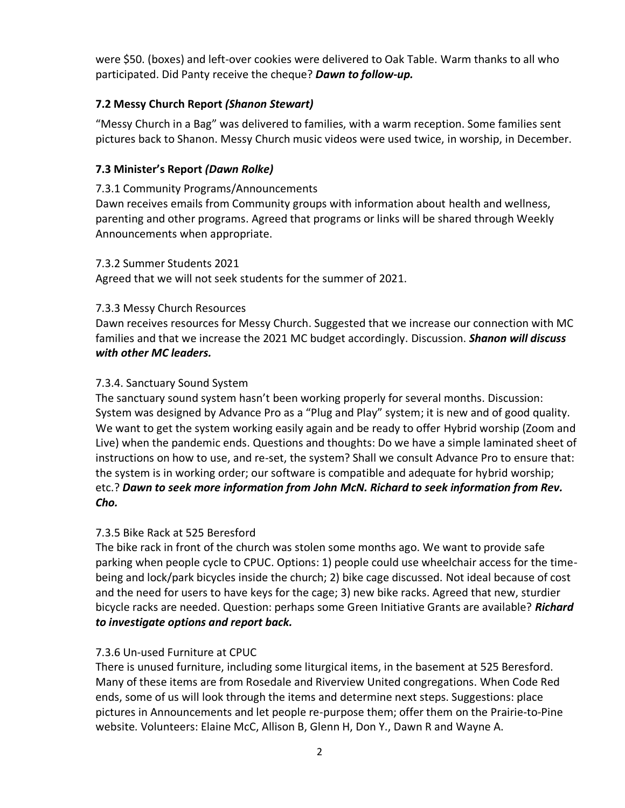were \$50. (boxes) and left-over cookies were delivered to Oak Table. Warm thanks to all who participated. Did Panty receive the cheque? *Dawn to follow-up.*

# **7.2 Messy Church Report** *(Shanon Stewart)*

"Messy Church in a Bag" was delivered to families, with a warm reception. Some families sent pictures back to Shanon. Messy Church music videos were used twice, in worship, in December.

# **7.3 Minister's Report** *(Dawn Rolke)*

#### 7.3.1 Community Programs/Announcements

Dawn receives emails from Community groups with information about health and wellness, parenting and other programs. Agreed that programs or links will be shared through Weekly Announcements when appropriate.

#### 7.3.2 Summer Students 2021

Agreed that we will not seek students for the summer of 2021.

## 7.3.3 Messy Church Resources

Dawn receives resources for Messy Church. Suggested that we increase our connection with MC families and that we increase the 2021 MC budget accordingly. Discussion. *Shanon will discuss with other MC leaders.*

#### 7.3.4. Sanctuary Sound System

The sanctuary sound system hasn't been working properly for several months. Discussion: System was designed by Advance Pro as a "Plug and Play" system; it is new and of good quality. We want to get the system working easily again and be ready to offer Hybrid worship (Zoom and Live) when the pandemic ends. Questions and thoughts: Do we have a simple laminated sheet of instructions on how to use, and re-set, the system? Shall we consult Advance Pro to ensure that: the system is in working order; our software is compatible and adequate for hybrid worship; etc.? *Dawn to seek more information from John McN. Richard to seek information from Rev. Cho.*

## 7.3.5 Bike Rack at 525 Beresford

The bike rack in front of the church was stolen some months ago. We want to provide safe parking when people cycle to CPUC. Options: 1) people could use wheelchair access for the timebeing and lock/park bicycles inside the church; 2) bike cage discussed. Not ideal because of cost and the need for users to have keys for the cage; 3) new bike racks. Agreed that new, sturdier bicycle racks are needed. Question: perhaps some Green Initiative Grants are available? *Richard to investigate options and report back.*

## 7.3.6 Un-used Furniture at CPUC

There is unused furniture, including some liturgical items, in the basement at 525 Beresford. Many of these items are from Rosedale and Riverview United congregations. When Code Red ends, some of us will look through the items and determine next steps. Suggestions: place pictures in Announcements and let people re-purpose them; offer them on the Prairie-to-Pine website. Volunteers: Elaine McC, Allison B, Glenn H, Don Y., Dawn R and Wayne A.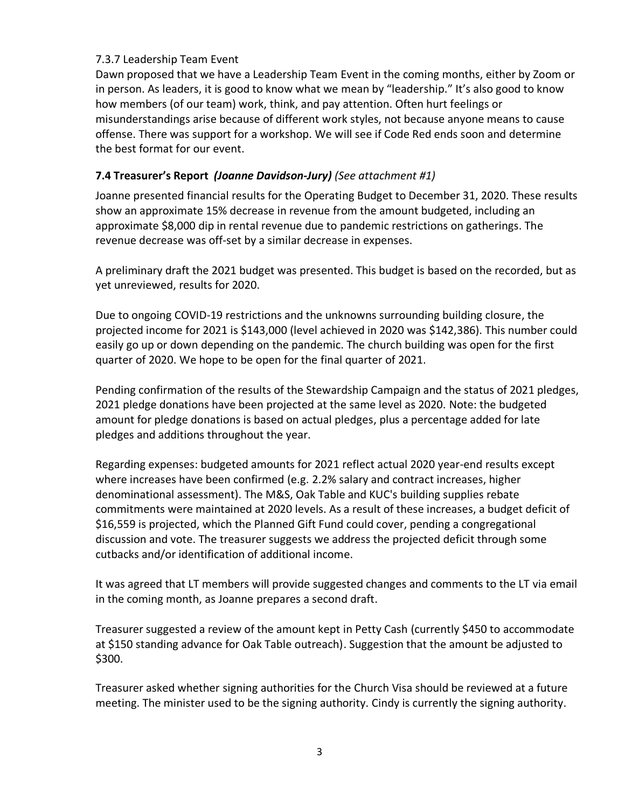#### 7.3.7 Leadership Team Event

Dawn proposed that we have a Leadership Team Event in the coming months, either by Zoom or in person. As leaders, it is good to know what we mean by "leadership." It's also good to know how members (of our team) work, think, and pay attention. Often hurt feelings or misunderstandings arise because of different work styles, not because anyone means to cause offense. There was support for a workshop. We will see if Code Red ends soon and determine the best format for our event.

# **7.4 Treasurer's Report** *(Joanne Davidson-Jury) (See attachment #1)*

Joanne presented financial results for the Operating Budget to December 31, 2020. These results show an approximate 15% decrease in revenue from the amount budgeted, including an approximate \$8,000 dip in rental revenue due to pandemic restrictions on gatherings. The revenue decrease was off-set by a similar decrease in expenses.

A preliminary draft the 2021 budget was presented. This budget is based on the recorded, but as yet unreviewed, results for 2020.

Due to ongoing COVID-19 restrictions and the unknowns surrounding building closure, the projected income for 2021 is \$143,000 (level achieved in 2020 was \$142,386). This number could easily go up or down depending on the pandemic. The church building was open for the first quarter of 2020. We hope to be open for the final quarter of 2021.

Pending confirmation of the results of the Stewardship Campaign and the status of 2021 pledges, 2021 pledge donations have been projected at the same level as 2020. Note: the budgeted amount for pledge donations is based on actual pledges, plus a percentage added for late pledges and additions throughout the year.

Regarding expenses: budgeted amounts for 2021 reflect actual 2020 year-end results except where increases have been confirmed (e.g. 2.2% salary and contract increases, higher denominational assessment). The M&S, Oak Table and KUC's building supplies rebate commitments were maintained at 2020 levels. As a result of these increases, a budget deficit of \$16,559 is projected, which the Planned Gift Fund could cover, pending a congregational discussion and vote. The treasurer suggests we address the projected deficit through some cutbacks and/or identification of additional income.

It was agreed that LT members will provide suggested changes and comments to the LT via email in the coming month, as Joanne prepares a second draft.

Treasurer suggested a review of the amount kept in Petty Cash (currently \$450 to accommodate at \$150 standing advance for Oak Table outreach). Suggestion that the amount be adjusted to \$300.

Treasurer asked whether signing authorities for the Church Visa should be reviewed at a future meeting. The minister used to be the signing authority. Cindy is currently the signing authority.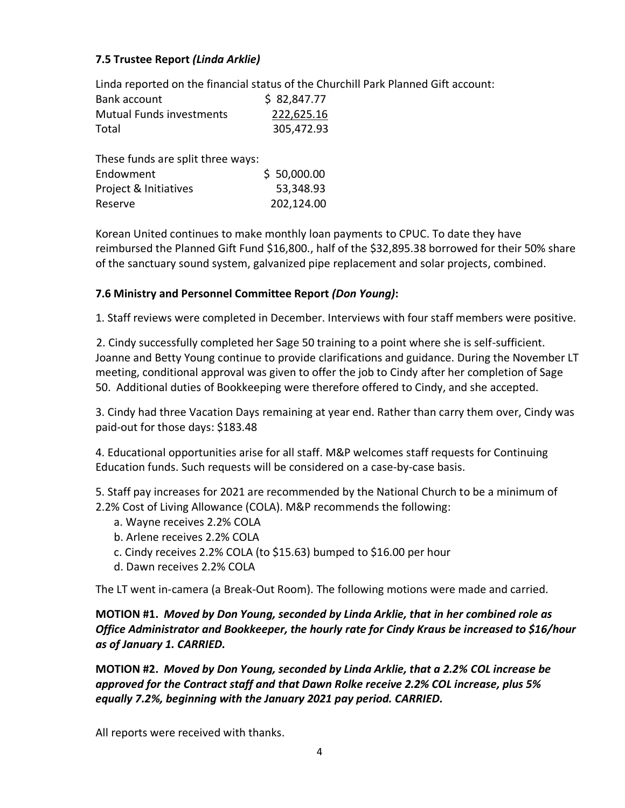# **7.5 Trustee Report** *(Linda Arklie)*

Linda reported on the financial status of the Churchill Park Planned Gift account:

| Bank account                    | \$2,847.77 |
|---------------------------------|------------|
| <b>Mutual Funds investments</b> | 222,625.16 |
| Total                           | 305,472.93 |

| These funds are split three ways: |             |
|-----------------------------------|-------------|
| Endowment                         | \$50,000.00 |
| Project & Initiatives             | 53,348.93   |
| Reserve                           | 202,124.00  |

Korean United continues to make monthly loan payments to CPUC. To date they have reimbursed the Planned Gift Fund \$16,800., half of the \$32,895.38 borrowed for their 50% share of the sanctuary sound system, galvanized pipe replacement and solar projects, combined.

## **7.6 Ministry and Personnel Committee Report** *(Don Young)***:**

1. Staff reviews were completed in December. Interviews with four staff members were positive.

 2. Cindy successfully completed her Sage 50 training to a point where she is self-sufficient. Joanne and Betty Young continue to provide clarifications and guidance. During the November LT meeting, conditional approval was given to offer the job to Cindy after her completion of Sage 50. Additional duties of Bookkeeping were therefore offered to Cindy, and she accepted.

3. Cindy had three Vacation Days remaining at year end. Rather than carry them over, Cindy was paid-out for those days: \$183.48

4. Educational opportunities arise for all staff. M&P welcomes staff requests for Continuing Education funds. Such requests will be considered on a case-by-case basis.

5. Staff pay increases for 2021 are recommended by the National Church to be a minimum of 2.2% Cost of Living Allowance (COLA). M&P recommends the following:

- a. Wayne receives 2.2% COLA
- b. Arlene receives 2.2% COLA
- c. Cindy receives 2.2% COLA (to \$15.63) bumped to \$16.00 per hour
- d. Dawn receives 2.2% COLA

The LT went in-camera (a Break-Out Room). The following motions were made and carried.

# **MOTION #1.** *Moved by Don Young, seconded by Linda Arklie, that in her combined role as Office Administrator and Bookkeeper, the hourly rate for Cindy Kraus be increased to \$16/hour as of January 1. CARRIED.*

**MOTION #2.** *Moved by Don Young, seconded by Linda Arklie, that a 2.2% COL increase be approved for the Contract staff and that Dawn Rolke receive 2.2% COL increase, plus 5% equally 7.2%, beginning with the January 2021 pay period. CARRIED.*

All reports were received with thanks.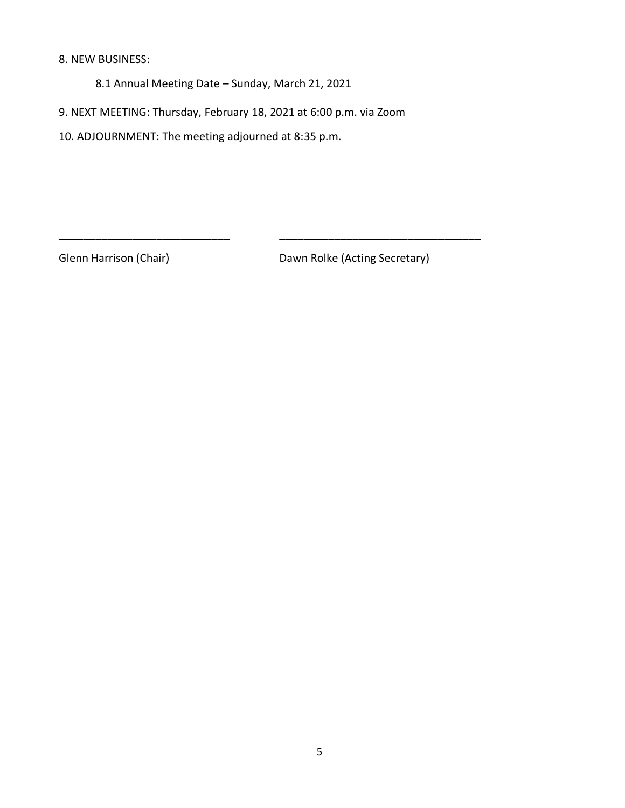#### 8. NEW BUSINESS:

8.1 Annual Meeting Date – Sunday, March 21, 2021

9. NEXT MEETING: Thursday, February 18, 2021 at 6:00 p.m. via Zoom

\_\_\_\_\_\_\_\_\_\_\_\_\_\_\_\_\_\_\_\_\_\_\_\_\_\_\_\_ \_\_\_\_\_\_\_\_\_\_\_\_\_\_\_\_\_\_\_\_\_\_\_\_\_\_\_\_\_\_\_\_\_

10. ADJOURNMENT: The meeting adjourned at 8:35 p.m.

Glenn Harrison (Chair) Dawn Rolke (Acting Secretary)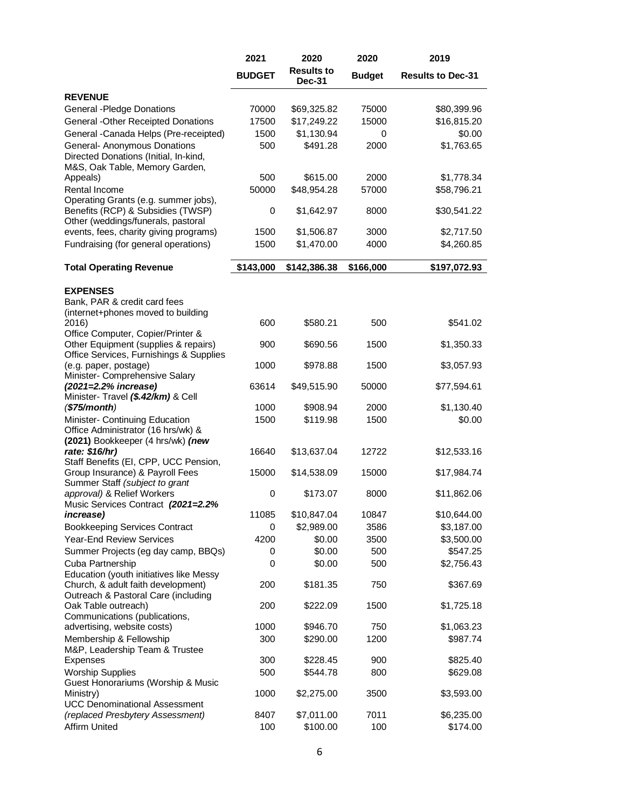|                                                                                                                 | 2021          | 2020                               | 2020          | 2019                     |
|-----------------------------------------------------------------------------------------------------------------|---------------|------------------------------------|---------------|--------------------------|
|                                                                                                                 | <b>BUDGET</b> | <b>Results to</b><br><b>Dec-31</b> | <b>Budget</b> | <b>Results to Dec-31</b> |
| <b>REVENUE</b>                                                                                                  |               |                                    |               |                          |
| General - Pledge Donations                                                                                      | 70000         | \$69,325.82                        | 75000         | \$80,399.96              |
| <b>General -Other Receipted Donations</b>                                                                       | 17500         | \$17,249.22                        | 15000         | \$16,815.20              |
| General - Canada Helps (Pre-receipted)                                                                          | 1500          | \$1,130.94                         | 0             | \$0.00                   |
| General- Anonymous Donations<br>Directed Donations (Initial, In-kind,<br>M&S, Oak Table, Memory Garden,         | 500           | \$491.28                           | 2000          | \$1,763.65               |
| Appeals)                                                                                                        | 500           | \$615.00                           | 2000          | \$1,778.34               |
| Rental Income                                                                                                   | 50000         | \$48,954.28                        | 57000         | \$58,796.21              |
| Operating Grants (e.g. summer jobs),<br>Benefits (RCP) & Subsidies (TWSP)<br>Other (weddings/funerals, pastoral | 0             | \$1,642.97                         | 8000          | \$30,541.22              |
| events, fees, charity giving programs)                                                                          | 1500          | \$1,506.87                         | 3000          | \$2,717.50               |
| Fundraising (for general operations)                                                                            | 1500          | \$1,470.00                         | 4000          | \$4,260.85               |
| <b>Total Operating Revenue</b>                                                                                  | \$143,000     | \$142,386.38                       | \$166,000     | \$197,072.93             |
| <b>EXPENSES</b>                                                                                                 |               |                                    |               |                          |
| Bank, PAR & credit card fees<br>(internet+phones moved to building                                              |               |                                    |               |                          |
| 2016)<br>Office Computer, Copier/Printer &                                                                      | 600           | \$580.21                           | 500           | \$541.02                 |
| Other Equipment (supplies & repairs)<br>Office Services, Furnishings & Supplies                                 | 900           | \$690.56                           | 1500          | \$1,350.33               |
| (e.g. paper, postage)<br>Minister- Comprehensive Salary                                                         | 1000          | \$978.88                           | 1500          | \$3,057.93               |
| (2021=2.2% increase)<br>Minister- Travel (\$.42/km) & Cell                                                      | 63614         | \$49,515.90                        | 50000         | \$77,594.61              |
| $(\$75/month)$                                                                                                  | 1000          | \$908.94                           | 2000          | \$1,130.40               |
| Minister- Continuing Education<br>Office Administrator (16 hrs/wk) &<br>(2021) Bookkeeper (4 hrs/wk) (new       | 1500          | \$119.98                           | 1500          | \$0.00                   |
| rate: \$16/hr)<br>Staff Benefits (EI, CPP, UCC Pension,                                                         | 16640         | \$13,637.04                        | 12722         | \$12,533.16              |
| Group Insurance) & Payroll Fees<br>Summer Staff (subject to grant                                               | 15000         | \$14,538.09                        | 15000         | \$17,984.74              |
| approval) & Relief Workers<br>Music Services Contract (2021=2.2%                                                | 0             | \$173.07                           | 8000          | \$11,862.06              |
| <i>increase</i> )                                                                                               | 11085         | \$10,847.04                        | 10847         | \$10,644.00              |
| <b>Bookkeeping Services Contract</b>                                                                            | 0             | \$2,989.00                         | 3586          | \$3,187.00               |
| <b>Year-End Review Services</b>                                                                                 | 4200          | \$0.00                             | 3500          | \$3,500.00               |
| Summer Projects (eg day camp, BBQs)                                                                             | 0             | \$0.00                             | 500           | \$547.25                 |
| Cuba Partnership                                                                                                | 0             | \$0.00                             | 500           | \$2,756.43               |
| Education (youth initiatives like Messy                                                                         |               |                                    |               |                          |
| Church, & adult faith development)<br>Outreach & Pastoral Care (including                                       | 200           | \$181.35                           | 750           | \$367.69                 |
| Oak Table outreach)<br>Communications (publications,                                                            | 200           | \$222.09                           | 1500          | \$1,725.18               |
| advertising, website costs)                                                                                     | 1000          | \$946.70                           | 750           | \$1,063.23               |
| Membership & Fellowship<br>M&P, Leadership Team & Trustee                                                       | 300           | \$290.00                           | 1200          | \$987.74                 |
| <b>Expenses</b>                                                                                                 | 300           | \$228.45                           | 900           | \$825.40                 |
| <b>Worship Supplies</b><br>Guest Honorariums (Worship & Music                                                   | 500           | \$544.78                           | 800           | \$629.08                 |
| Ministry)<br><b>UCC Denominational Assessment</b>                                                               | 1000          | \$2,275.00                         | 3500          | \$3,593.00               |
| (replaced Presbytery Assessment)                                                                                | 8407          | \$7,011.00                         | 7011          | \$6,235.00               |
| <b>Affirm United</b>                                                                                            | 100           | \$100.00                           | 100           | \$174.00                 |